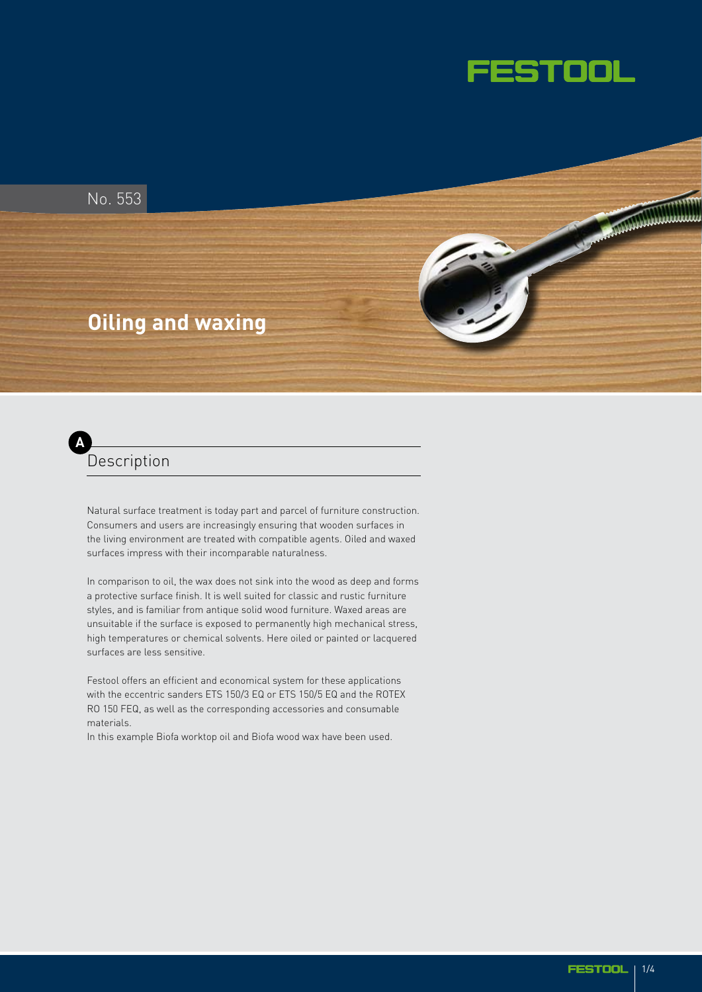

No. 553

# **Oiling and waxing**



Natural surface treatment is today part and parcel of furniture construction. Consumers and users are increasingly ensuring that wooden surfaces in the living environment are treated with compatible agents. Oiled and waxed surfaces impress with their incomparable naturalness.

In comparison to oil, the wax does not sink into the wood as deep and forms a protective surface finish. It is well suited for classic and rustic furniture styles, and is familiar from antique solid wood furniture. Waxed areas are unsuitable if the surface is exposed to permanently high mechanical stress, high temperatures or chemical solvents. Here oiled or painted or lacquered surfaces are less sensitive.

Festool offers an efficient and economical system for these applications with the eccentric sanders ETS 150/3 EQ or ETS 150/5 EQ and the ROTEX RO 150 FEQ, as well as the corresponding accessories and consumable materials.

In this example Biofa worktop oil and Biofa wood wax have been used.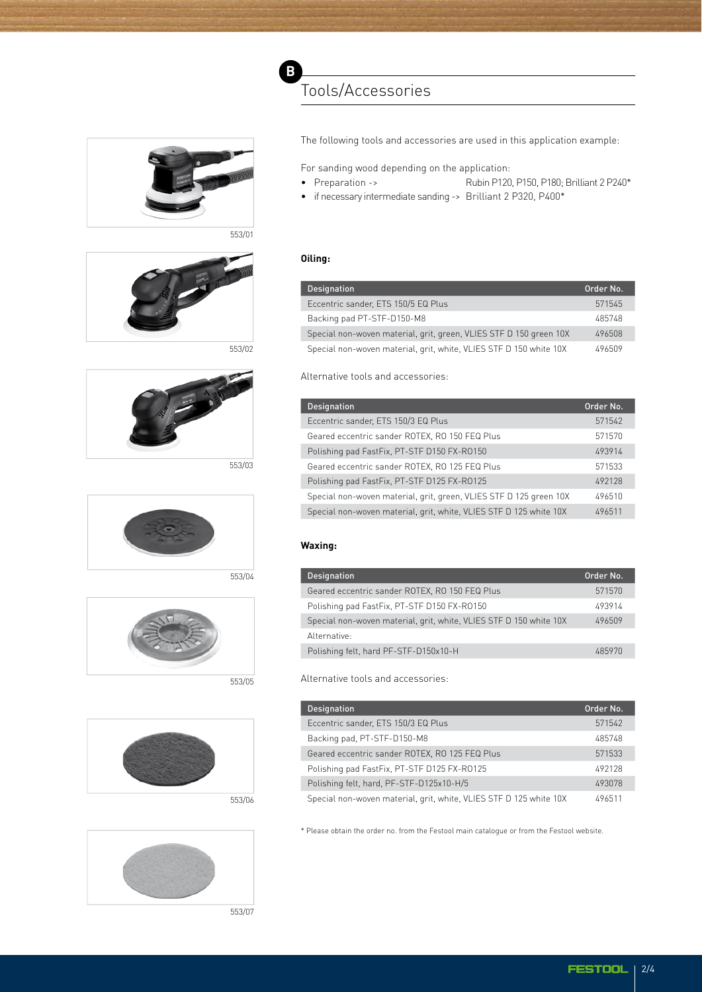



553/01



553/02





553/04



553/05





553/07

# The following tools and accessories are used in this application example:

For sanding wood depending on the application:

- Preparation -> Rubin P120, P150, P180; Brilliant 2 P240\*
- if necessary intermediate sanding -> Brilliant 2 P320, P400\*

### **Oiling:**

| <b>Designation</b>                                                 | Order No. |
|--------------------------------------------------------------------|-----------|
| Eccentric sander, ETS 150/5 EQ Plus                                | 571545    |
| Backing pad PT-STF-D150-M8                                         | 485748    |
| Special non-woven material, grit, green, VLIES STF D 150 green 10X | 496508    |
| Special non-woven material, grit, white, VLIES STF D 150 white 10X | 496509    |

# Alternative tools and accessories:

| <b>Designation</b>                                                 | Order No. |
|--------------------------------------------------------------------|-----------|
| Eccentric sander, ETS 150/3 EQ Plus                                | 571542    |
| Geared eccentric sander ROTEX, RO 150 FEQ Plus                     | 571570    |
| Polishing pad FastFix, PT-STF D150 FX-R0150                        | 493914    |
| Geared eccentric sander ROTEX, RO 125 FEQ Plus                     | 571533    |
| Polishing pad FastFix, PT-STF D125 FX-R0125                        | 492128    |
| Special non-woven material, grit, green, VLIES STF D 125 green 10X | 496510    |
| Special non-woven material, grit, white, VLIES STF D 125 white 10X | 496511    |

#### **Waxing:**

| <b>Designation</b>                                                 | Order No. |
|--------------------------------------------------------------------|-----------|
| Geared eccentric sander ROTEX, RO 150 FEQ Plus                     | 571570    |
| Polishing pad FastFix, PT-STF D150 FX-R0150                        | 493914    |
| Special non-woven material, grit, white, VLIES STF D 150 white 10X | 496509    |
| Alternative:                                                       |           |
| Polishing felt, hard PF-STF-D150x10-H                              | 485970    |

Alternative tools and accessories:

| <b>Designation</b>                                                 | Order No. |
|--------------------------------------------------------------------|-----------|
| Eccentric sander, ETS 150/3 EQ Plus                                | 571542    |
| Backing pad, PT-STF-D150-M8                                        | 485748    |
| Geared eccentric sander ROTEX, RO 125 FEQ Plus                     | 571533    |
| Polishing pad FastFix, PT-STF D125 FX-R0125                        | 492128    |
| Polishing felt, hard, PF-STF-D125x10-H/5                           | 493078    |
| Special non-woven material, grit, white, VLIES STF D 125 white 10X | 496511    |

\* Please obtain the order no. from the Festool main catalogue or from the Festool website.

| ols and accessories:                |
|-------------------------------------|
|                                     |
| nder. ETS 150/3 EQ Plus             |
| ntric sander ROTEX. RO 150 FEQ Plus |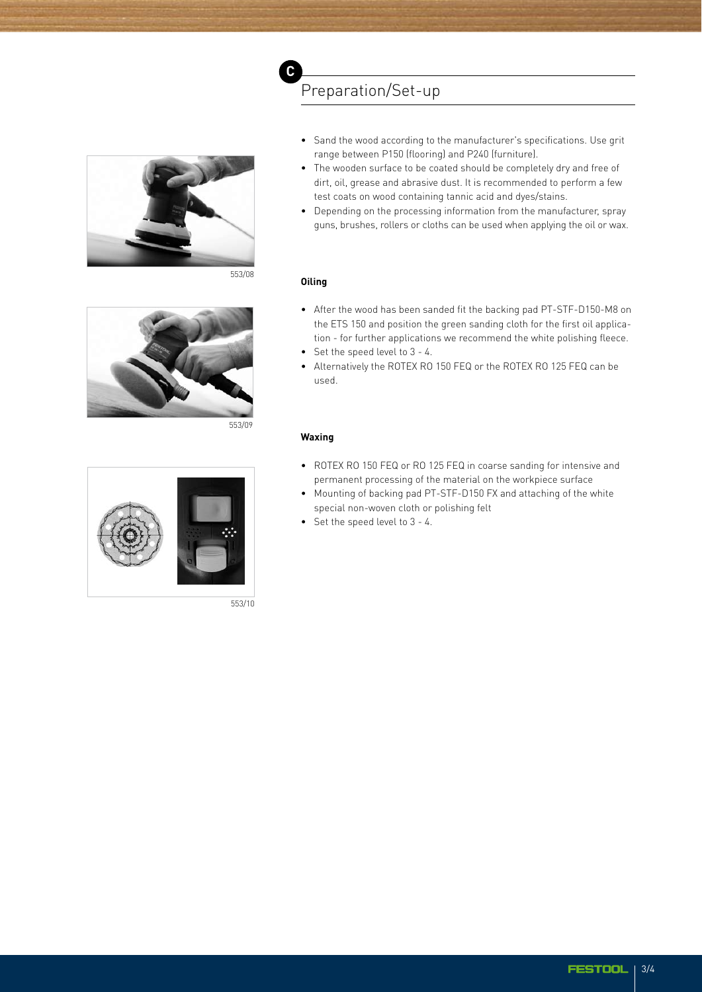

553/08



553/09



553/10

#### • Sand the wood according to the manufacturer's specifications. Use grit range between P150 (flooring) and P240 (furniture).

- The wooden surface to be coated should be completely dry and free of dirt, oil, grease and abrasive dust. It is recommended to perform a few test coats on wood containing tannic acid and dyes/stains.
- Depending on the processing information from the manufacturer, spray guns, brushes, rollers or cloths can be used when applying the oil or wax.

## **Oiling**

**C**

- After the wood has been sanded fit the backing pad PT-STF-D150-M8 on the ETS 150 and position the green sanding cloth for the first oil application - for further applications we recommend the white polishing fleece.
- Set the speed level to 3 4.

Preparation/Set-up

• Alternatively the ROTEX RO 150 FEQ or the ROTEX RO 125 FEQ can be used.

#### **Waxing**

- ROTEX RO 150 FEQ or RO 125 FEQ in coarse sanding for intensive and permanent processing of the material on the workpiece surface
- Mounting of backing pad PT-STF-D150 FX and attaching of the white special non-woven cloth or polishing felt
- Set the speed level to 3 4.